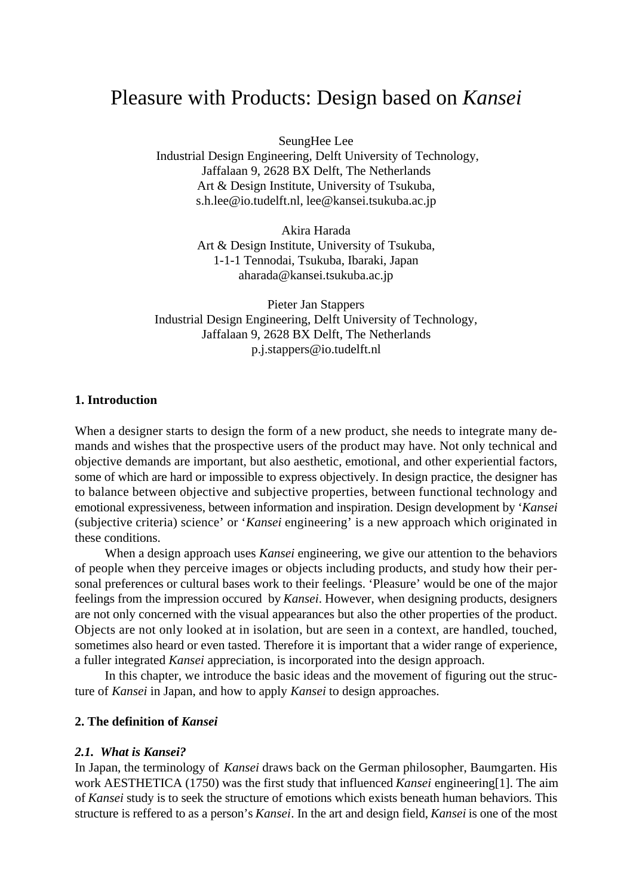# Pleasure with Products: Design based on *Kansei*

SeungHee Lee

 Industrial Design Engineering, Delft University of Technology, Jaffalaan 9, 2628 BX Delft, The Netherlands Art & Design Institute, University of Tsukuba, s.h.lee@io.tudelft.nl, lee@kansei.tsukuba.ac.jp

> Akira Harada Art & Design Institute, University of Tsukuba, 1-1-1 Tennodai, Tsukuba, Ibaraki, Japan aharada@kansei.tsukuba.ac.jp

Pieter Jan Stappers Industrial Design Engineering, Delft University of Technology, Jaffalaan 9, 2628 BX Delft, The Netherlands p.j.stappers@io.tudelft.nl

## **1. Introduction**

When a designer starts to design the form of a new product, she needs to integrate many demands and wishes that the prospective users of the product may have. Not only technical and objective demands are important, but also aesthetic, emotional, and other experiential factors, some of which are hard or impossible to express objectively. In design practice, the designer has to balance between objective and subjective properties, between functional technology and emotional expressiveness, between information and inspiration. Design development by '*Kansei* (subjective criteria) science' or '*Kansei* engineering' is a new approach which originated in these conditions.

When a design approach uses *Kansei* engineering, we give our attention to the behaviors of people when they perceive images or objects including products, and study how their personal preferences or cultural bases work to their feelings. 'Pleasure' would be one of the major feelings from the impression occured by *Kansei*. However, when designing products, designers are not only concerned with the visual appearances but also the other properties of the product. Objects are not only looked at in isolation, but are seen in a context, are handled, touched, sometimes also heard or even tasted. Therefore it is important that a wider range of experience, a fuller integrated *Kansei* appreciation, is incorporated into the design approach.

In this chapter, we introduce the basic ideas and the movement of figuring out the structure of *Kansei* in Japan, and how to apply *Kansei* to design approaches.

### **2. The definition of** *Kansei*

#### *2.1. What is Kansei?*

In Japan, the terminology of *Kansei* draws back on the German philosopher, Baumgarten. His work AESTHETICA (1750) was the first study that influenced *Kansei* engineering[1]. The aim of *Kansei* study is to seek the structure of emotions which exists beneath human behaviors. This structure is reffered to as a person's *Kansei*. In the art and design field, *Kansei* is one of the most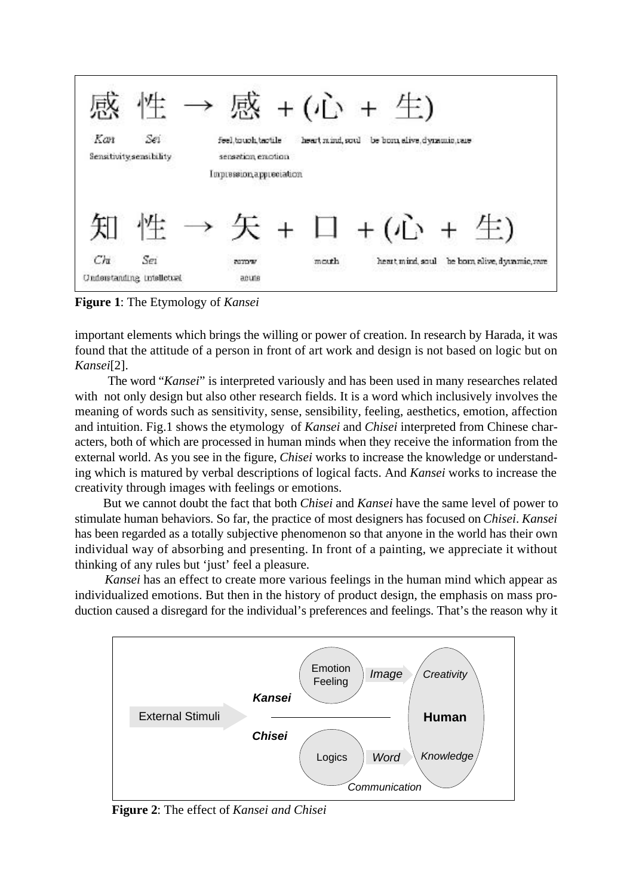

**Figure 1**: The Etymology of *Kansei*

important elements which brings the willing or power of creation. In research by Harada, it was found that the attitude of a person in front of art work and design is not based on logic but on *Kansei*[2].

 The word "*Kansei*" is interpreted variously and has been used in many researches related with not only design but also other research fields. It is a word which inclusively involves the meaning of words such as sensitivity, sense, sensibility, feeling, aesthetics, emotion, affection and intuition. Fig.1 shows the etymology of *Kansei* and *Chisei* interpreted from Chinese characters, both of which are processed in human minds when they receive the information from the external world. As you see in the figure, *Chisei* works to increase the knowledge or understanding which is matured by verbal descriptions of logical facts. And *Kansei* works to increase the creativity through images with feelings or emotions.

 But we cannot doubt the fact that both *Chisei* and *Kansei* have the same level of power to stimulate human behaviors. So far, the practice of most designers has focused on *Chisei*. *Kansei* has been regarded as a totally subjective phenomenon so that anyone in the world has their own individual way of absorbing and presenting. In front of a painting, we appreciate it without thinking of any rules but 'just' feel a pleasure.

*Kansei* has an effect to create more various feelings in the human mind which appear as individualized emotions. But then in the history of product design, the emphasis on mass production caused a disregard for the individual's preferences and feelings. That's the reason why it



**Figure 2**: The effect of *Kansei and Chisei*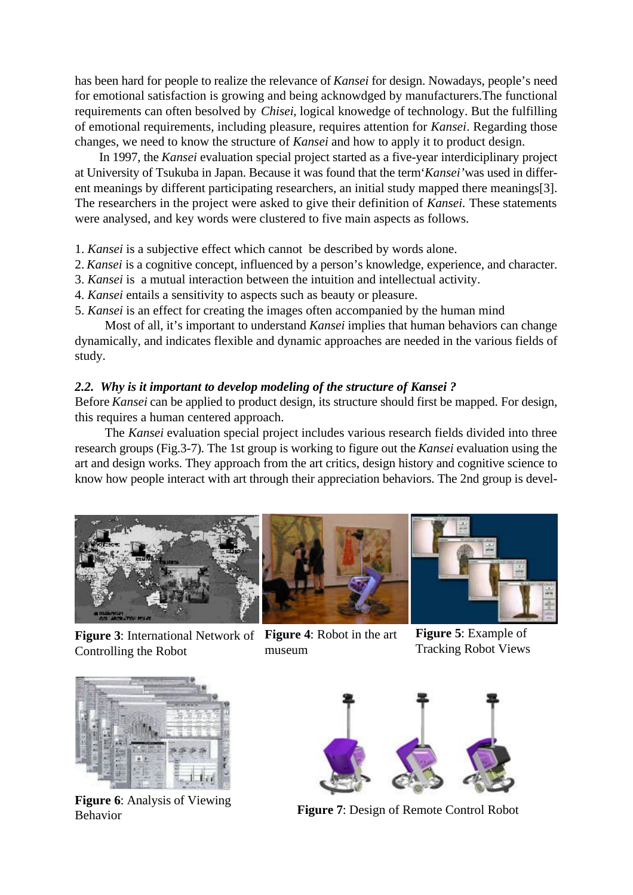has been hard for people to realize the relevance of *Kansei* for design. Nowadays, people's need for emotional satisfaction is growing and being acknowdged by manufacturers.The functional requirements can often besolved by *Chisei*, logical knowedge of technology. But the fulfilling of emotional requirements, including pleasure, requires attention for *Kansei*. Regarding those changes, we need to know the structure of *Kansei* and how to apply it to product design.

 In 1997, the *Kansei* evaluation special project started as a five-year interdiciplinary project at University of Tsukuba in Japan. Because it was found that the term'*Kansei'*was used in different meanings by different participating researchers, an initial study mapped there meanings[3]. The researchers in the project were asked to give their definition of *Kansei.* These statements were analysed, and key words were clustered to five main aspects as follows.

- 1. *Kansei* is a subjective effect which cannot be described by words alone.
- 2. *Kansei* is a cognitive concept, influenced by a person's knowledge, experience, and character.
- 3. *Kansei* is a mutual interaction between the intuition and intellectual activity.
- 4. *Kansei* entails a sensitivity to aspects such as beauty or pleasure.
- 5. *Kansei* is an effect for creating the images often accompanied by the human mind

Most of all, it's important to understand *Kansei* implies that human behaviors can change dynamically, and indicates flexible and dynamic approaches are needed in the various fields of study.

## *2.2. Why is it important to develop modeling of the structure of Kansei ?*

Before *Kansei* can be applied to product design, its structure should first be mapped. For design, this requires a human centered approach.

The *Kansei* evaluation special project includes various research fields divided into three research groups (Fig.3-7). The 1st group is working to figure out the *Kansei* evaluation using the art and design works. They approach from the art critics, design history and cognitive science to know how people interact with art through their appreciation behaviors. The 2nd group is devel-



Figure 3: International Network of Figure 4: Robot in the art Controlling the Robot



museum



**Figure 5**: Example of Tracking Robot Views



**Figure 6**: Analysis of Viewing Behavior



**Figure 7**: Design of Remote Control Robot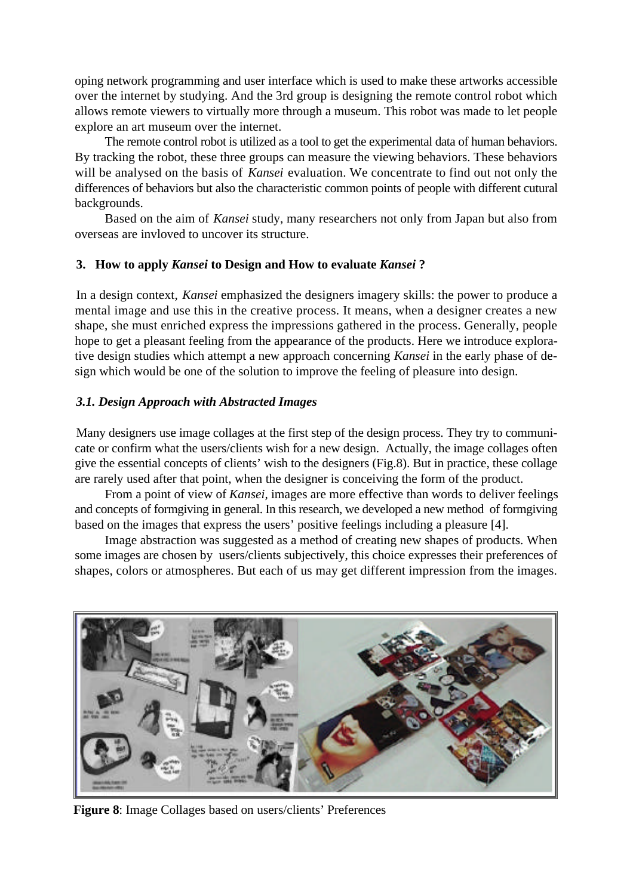oping network programming and user interface which is used to make these artworks accessible over the internet by studying. And the 3rd group is designing the remote control robot which allows remote viewers to virtually more through a museum. This robot was made to let people explore an art museum over the internet.

The remote control robot is utilized as a tool to get the experimental data of human behaviors. By tracking the robot, these three groups can measure the viewing behaviors. These behaviors will be analysed on the basis of *Kansei* evaluation. We concentrate to find out not only the differences of behaviors but also the characteristic common points of people with different cutural backgrounds.

Based on the aim of *Kansei* study, many researchers not only from Japan but also from overseas are invloved to uncover its structure.

## **3. How to apply** *Kansei* **to Design and How to evaluate** *Kansei* **?**

In a design context, *Kansei* emphasized the designers imagery skills: the power to produce a mental image and use this in the creative process. It means, when a designer creates a new shape, she must enriched express the impressions gathered in the process. Generally, people hope to get a pleasant feeling from the appearance of the products. Here we introduce explorative design studies which attempt a new approach concerning *Kansei* in the early phase of design which would be one of the solution to improve the feeling of pleasure into design.

## *3.1. Design Approach with Abstracted Images*

Many designers use image collages at the first step of the design process. They try to communicate or confirm what the users/clients wish for a new design. Actually, the image collages often give the essential concepts of clients' wish to the designers (Fig.8). But in practice, these collage are rarely used after that point, when the designer is conceiving the form of the product.

From a point of view of *Kansei,* images are more effective than words to deliver feelings and concepts of formgiving in general. In this research, we developed a new method of formgiving based on the images that express the users' positive feelings including a pleasure [4].

Image abstraction was suggested as a method of creating new shapes of products. When some images are chosen by users/clients subjectively, this choice expresses their preferences of shapes, colors or atmospheres. But each of us may get different impression from the images.



**Figure 8**: Image Collages based on users/clients' Preferences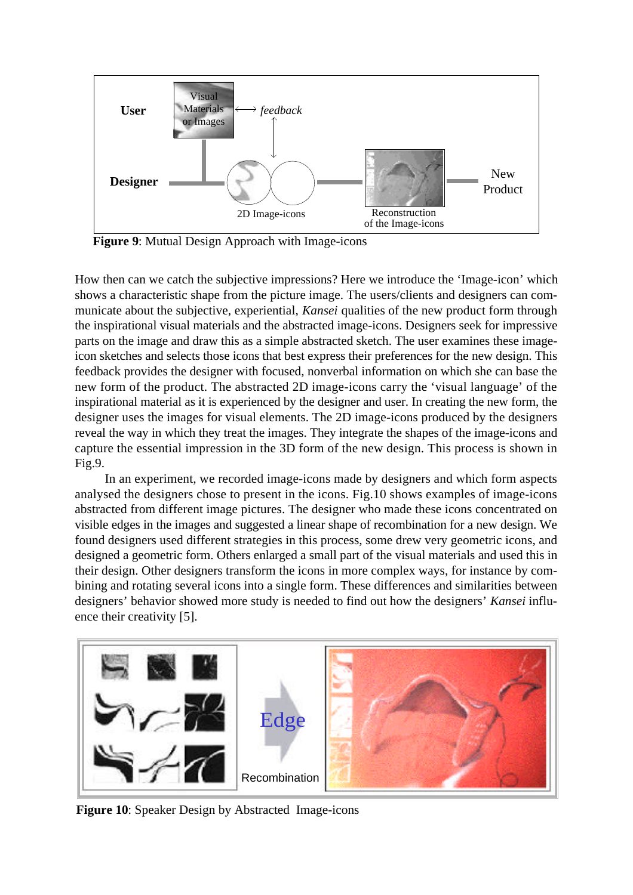

**Figure 9**: Mutual Design Approach with Image-icons

How then can we catch the subjective impressions? Here we introduce the 'Image-icon' which shows a characteristic shape from the picture image. The users/clients and designers can communicate about the subjective, experiential, *Kansei* qualities of the new product form through the inspirational visual materials and the abstracted image-icons. Designers seek for impressive parts on the image and draw this as a simple abstracted sketch. The user examines these imageicon sketches and selects those icons that best express their preferences for the new design. This feedback provides the designer with focused, nonverbal information on which she can base the new form of the product. The abstracted 2D image-icons carry the 'visual language' of the inspirational material as it is experienced by the designer and user. In creating the new form, the designer uses the images for visual elements. The 2D image-icons produced by the designers reveal the way in which they treat the images. They integrate the shapes of the image-icons and capture the essential impression in the 3D form of the new design. This process is shown in Fig.9.

In an experiment, we recorded image-icons made by designers and which form aspects analysed the designers chose to present in the icons. Fig.10 shows examples of image-icons abstracted from different image pictures. The designer who made these icons concentrated on visible edges in the images and suggested a linear shape of recombination for a new design. We found designers used different strategies in this process, some drew very geometric icons, and designed a geometric form. Others enlarged a small part of the visual materials and used this in their design. Other designers transform the icons in more complex ways, for instance by combining and rotating several icons into a single form. These differences and similarities between designers' behavior showed more study is needed to find out how the designers' *Kansei* influence their creativity [5].



**Figure 10**: Speaker Design by Abstracted Image-icons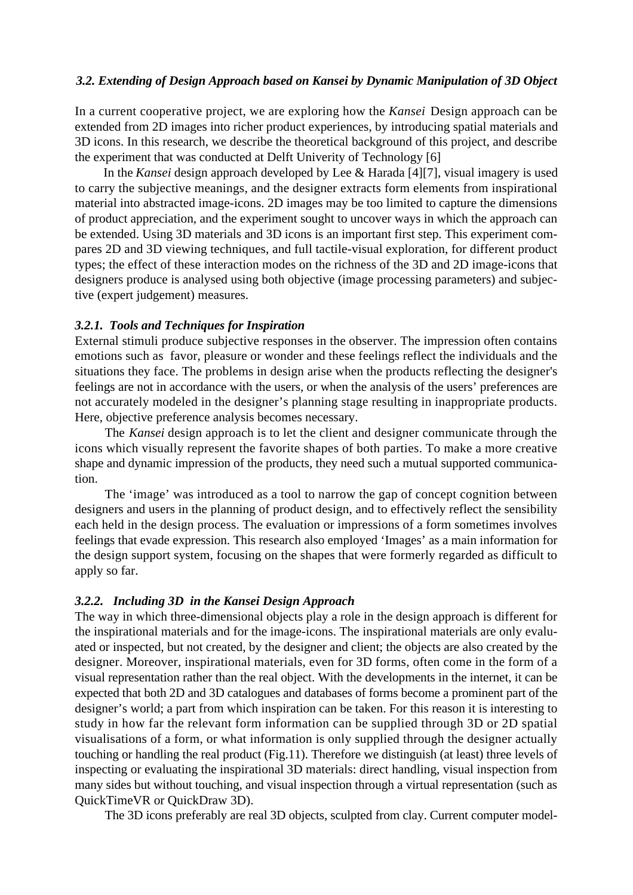## *3.2. Extending of Design Approach based on Kansei by Dynamic Manipulation of 3D Object*

In a current cooperative project, we are exploring how the *Kansei* Design approach can be extended from 2D images into richer product experiences, by introducing spatial materials and 3D icons. In this research, we describe the theoretical background of this project, and describe the experiment that was conducted at Delft Univerity of Technology [6]

 In the *Kansei* design approach developed by Lee & Harada [4][7], visual imagery is used to carry the subjective meanings, and the designer extracts form elements from inspirational material into abstracted image-icons. 2D images may be too limited to capture the dimensions of product appreciation, and the experiment sought to uncover ways in which the approach can be extended. Using 3D materials and 3D icons is an important first step. This experiment compares 2D and 3D viewing techniques, and full tactile-visual exploration, for different product types; the effect of these interaction modes on the richness of the 3D and 2D image-icons that designers produce is analysed using both objective (image processing parameters) and subjective (expert judgement) measures.

#### *3.2.1. Tools and Techniques for Inspiration*

External stimuli produce subjective responses in the observer. The impression often contains emotions such as favor, pleasure or wonder and these feelings reflect the individuals and the situations they face. The problems in design arise when the products reflecting the designer's feelings are not in accordance with the users, or when the analysis of the users' preferences are not accurately modeled in the designer's planning stage resulting in inappropriate products. Here, objective preference analysis becomes necessary.

The *Kansei* design approach is to let the client and designer communicate through the icons which visually represent the favorite shapes of both parties. To make a more creative shape and dynamic impression of the products, they need such a mutual supported communication.

The 'image' was introduced as a tool to narrow the gap of concept cognition between designers and users in the planning of product design, and to effectively reflect the sensibility each held in the design process. The evaluation or impressions of a form sometimes involves feelings that evade expression. This research also employed 'Images' as a main information for the design support system, focusing on the shapes that were formerly regarded as difficult to apply so far.

## *3.2.2. Including 3D in the Kansei Design Approach*

The way in which three-dimensional objects play a role in the design approach is different for the inspirational materials and for the image-icons. The inspirational materials are only evaluated or inspected, but not created, by the designer and client; the objects are also created by the designer. Moreover, inspirational materials, even for 3D forms, often come in the form of a visual representation rather than the real object. With the developments in the internet, it can be expected that both 2D and 3D catalogues and databases of forms become a prominent part of the designer's world; a part from which inspiration can be taken. For this reason it is interesting to study in how far the relevant form information can be supplied through 3D or 2D spatial visualisations of a form, or what information is only supplied through the designer actually touching or handling the real product (Fig.11). Therefore we distinguish (at least) three levels of inspecting or evaluating the inspirational 3D materials: direct handling, visual inspection from many sides but without touching, and visual inspection through a virtual representation (such as QuickTimeVR or QuickDraw 3D).

The 3D icons preferably are real 3D objects, sculpted from clay. Current computer model-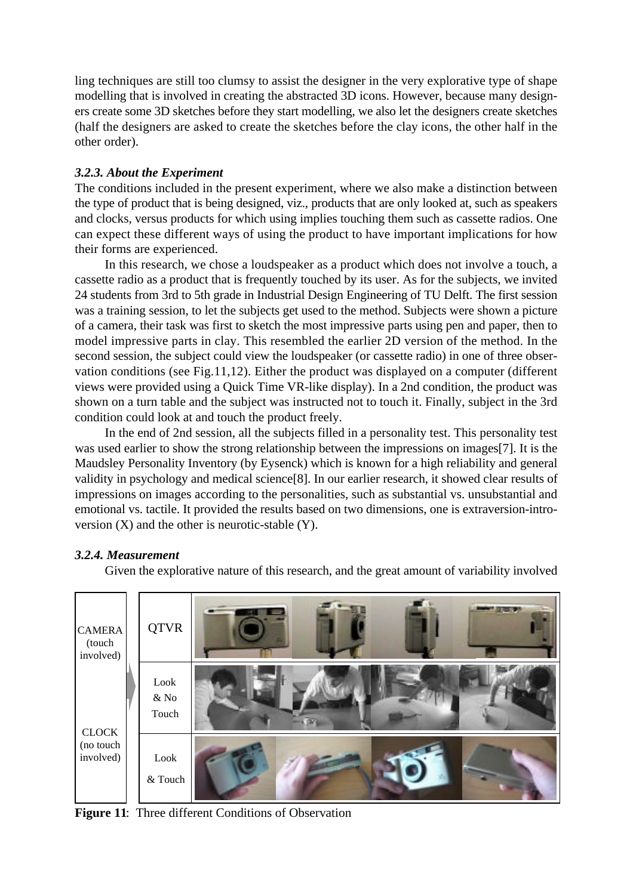ling techniques are still too clumsy to assist the designer in the very explorative type of shape modelling that is involved in creating the abstracted 3D icons. However, because many designers create some 3D sketches before they start modelling, we also let the designers create sketches (half the designers are asked to create the sketches before the clay icons, the other half in the other order).

# *3.2.3. About the Experiment*

The conditions included in the present experiment, where we also make a distinction between the type of product that is being designed, viz., products that are only looked at, such as speakers and clocks, versus products for which using implies touching them such as cassette radios. One can expect these different ways of using the product to have important implications for how their forms are experienced.

In this research, we chose a loudspeaker as a product which does not involve a touch, a cassette radio as a product that is frequently touched by its user. As for the subjects, we invited 24 students from 3rd to 5th grade in Industrial Design Engineering of TU Delft. The first session was a training session, to let the subjects get used to the method. Subjects were shown a picture of a camera, their task was first to sketch the most impressive parts using pen and paper, then to model impressive parts in clay. This resembled the earlier 2D version of the method. In the second session, the subject could view the loudspeaker (or cassette radio) in one of three observation conditions (see Fig.11,12). Either the product was displayed on a computer (different views were provided using a Quick Time VR-like display). In a 2nd condition, the product was shown on a turn table and the subject was instructed not to touch it. Finally, subject in the 3rd condition could look at and touch the product freely.

In the end of 2nd session, all the subjects filled in a personality test. This personality test was used earlier to show the strong relationship between the impressions on images[7]. It is the Maudsley Personality Inventory (by Eysenck) which is known for a high reliability and general validity in psychology and medical science[8]. In our earlier research, it showed clear results of impressions on images according to the personalities, such as substantial vs. unsubstantial and emotional vs. tactile. It provided the results based on two dimensions, one is extraversion-introversion  $(X)$  and the other is neurotic-stable  $(Y)$ .

## *3.2.4. Measurement*

Given the explorative nature of this research, and the great amount of variability involved



**Figure 11**: Three different Conditions of Observation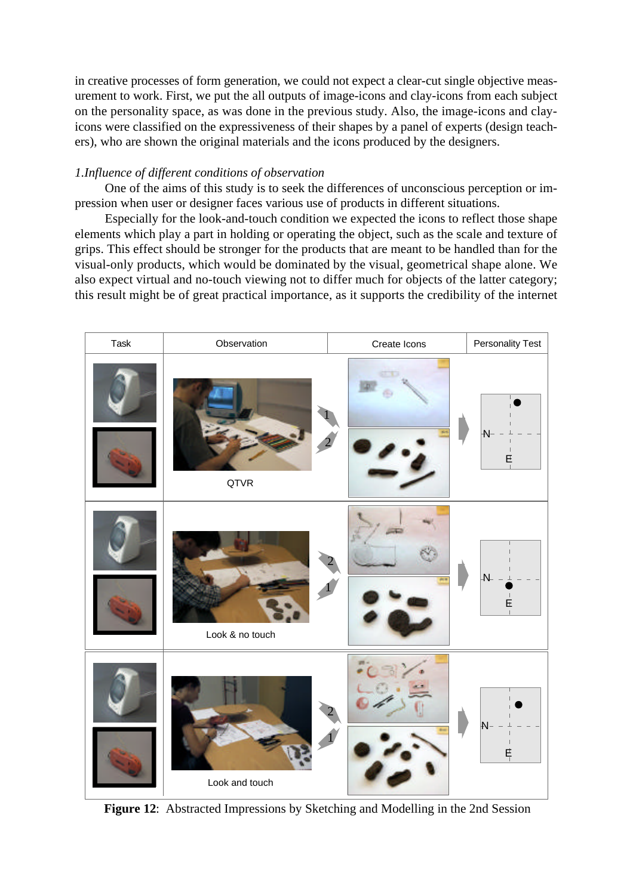in creative processes of form generation, we could not expect a clear-cut single objective measurement to work. First, we put the all outputs of image-icons and clay-icons from each subject on the personality space, as was done in the previous study. Also, the image-icons and clayicons were classified on the expressiveness of their shapes by a panel of experts (design teachers), who are shown the original materials and the icons produced by the designers.

## *1.Influence of different conditions of observation*

One of the aims of this study is to seek the differences of unconscious perception or impression when user or designer faces various use of products in different situations.

Especially for the look-and-touch condition we expected the icons to reflect those shape elements which play a part in holding or operating the object, such as the scale and texture of grips. This effect should be stronger for the products that are meant to be handled than for the visual-only products, which would be dominated by the visual, geometrical shape alone. We also expect virtual and no-touch viewing not to differ much for objects of the latter category; this result might be of great practical importance, as it supports the credibility of the internet



**Figure 12**: Abstracted Impressions by Sketching and Modelling in the 2nd Session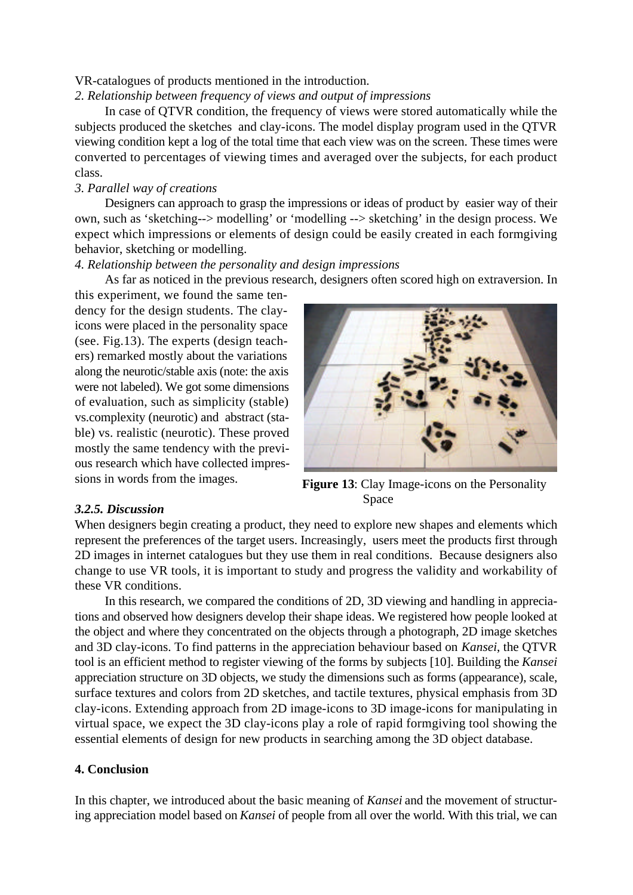VR-catalogues of products mentioned in the introduction.

*2. Relationship between frequency of views and output of impressions*

In case of QTVR condition, the frequency of views were stored automatically while the subjects produced the sketches and clay-icons. The model display program used in the QTVR viewing condition kept a log of the total time that each view was on the screen. These times were converted to percentages of viewing times and averaged over the subjects, for each product class.

## *3. Parallel way of creations*

Designers can approach to grasp the impressions or ideas of product by easier way of their own, such as 'sketching--> modelling' or 'modelling --> sketching' in the design process. We expect which impressions or elements of design could be easily created in each formgiving behavior, sketching or modelling.

# *4. Relationship between the personality and design impressions*

As far as noticed in the previous research, designers often scored high on extraversion. In

this experiment, we found the same tendency for the design students. The clayicons were placed in the personality space (see. Fig.13). The experts (design teachers) remarked mostly about the variations along the neurotic/stable axis (note: the axis were not labeled). We got some dimensions of evaluation, such as simplicity (stable) vs.complexity (neurotic) and abstract (stable) vs. realistic (neurotic). These proved mostly the same tendency with the previous research which have collected impressions in words from the images.



**Figure 13**: Clay Image-icons on the Personality Space

## *3.2.5. Discussion*

When designers begin creating a product, they need to explore new shapes and elements which represent the preferences of the target users. Increasingly, users meet the products first through 2D images in internet catalogues but they use them in real conditions. Because designers also change to use VR tools, it is important to study and progress the validity and workability of these VR conditions.

In this research, we compared the conditions of 2D, 3D viewing and handling in appreciations and observed how designers develop their shape ideas. We registered how people looked at the object and where they concentrated on the objects through a photograph, 2D image sketches and 3D clay-icons. To find patterns in the appreciation behaviour based on *Kansei*, the QTVR tool is an efficient method to register viewing of the forms by subjects [10]. Building the *Kansei* appreciation structure on 3D objects, we study the dimensions such as forms (appearance), scale, surface textures and colors from 2D sketches, and tactile textures, physical emphasis from 3D clay-icons. Extending approach from 2D image-icons to 3D image-icons for manipulating in virtual space, we expect the 3D clay-icons play a role of rapid formgiving tool showing the essential elements of design for new products in searching among the 3D object database.

## **4. Conclusion**

In this chapter, we introduced about the basic meaning of *Kansei* and the movement of structuring appreciation model based on *Kansei* of people from all over the world. With this trial, we can